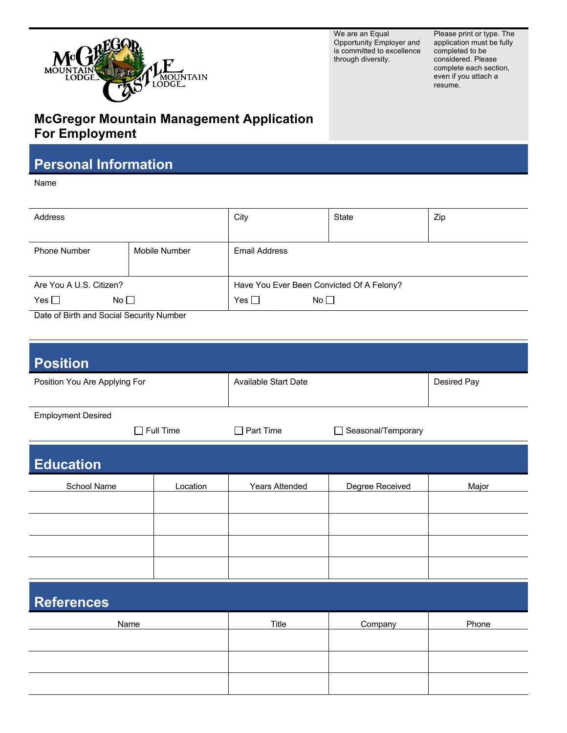

We are an Equal Opportunity Employer and is committed to excellence through diversity.

Please print or type. The application must be fully completed to be considered. Please complete each section, even if you attach a resume.

## **McGregor Mountain Management Application For Employment**

## **Personal Information**

Name

| Address                                                  |               | City                                      | State | Zip |
|----------------------------------------------------------|---------------|-------------------------------------------|-------|-----|
|                                                          |               |                                           |       |     |
| <b>Phone Number</b>                                      | Mobile Number | <b>Email Address</b>                      |       |     |
|                                                          |               |                                           |       |     |
| Are You A U.S. Citizen?                                  |               | Have You Ever Been Convicted Of A Felony? |       |     |
| Yes $\Box$<br>No <sub>1</sub>                            |               | Yes $\square$<br>No <sub>1</sub>          |       |     |
| $\sim$ $\sim$ $\sim$ $\sim$ $\sim$<br>$\sim$ $\sim$<br>. |               |                                           |       |     |

Date of Birth and Social Security Number

| <b>Position</b>               |          |                             |                              |             |  |
|-------------------------------|----------|-----------------------------|------------------------------|-------------|--|
| Position You Are Applying For |          | <b>Available Start Date</b> |                              | Desired Pay |  |
| <b>Employment Desired</b>     |          |                             |                              |             |  |
| $\Box$ Full Time              |          | Part Time<br>П              | Seasonal/Temporary<br>$\Box$ |             |  |
| <b>Education</b>              |          |                             |                              |             |  |
| School Name                   | Location | <b>Years Attended</b>       | Degree Received              | Major       |  |
|                               |          |                             |                              |             |  |
|                               |          |                             |                              |             |  |
|                               |          |                             |                              |             |  |
|                               |          |                             |                              |             |  |
| <b>References</b>             |          |                             |                              |             |  |
| Name                          |          | Title                       | Company                      | Phone       |  |
|                               |          |                             |                              |             |  |
|                               |          |                             |                              |             |  |
|                               |          |                             |                              |             |  |